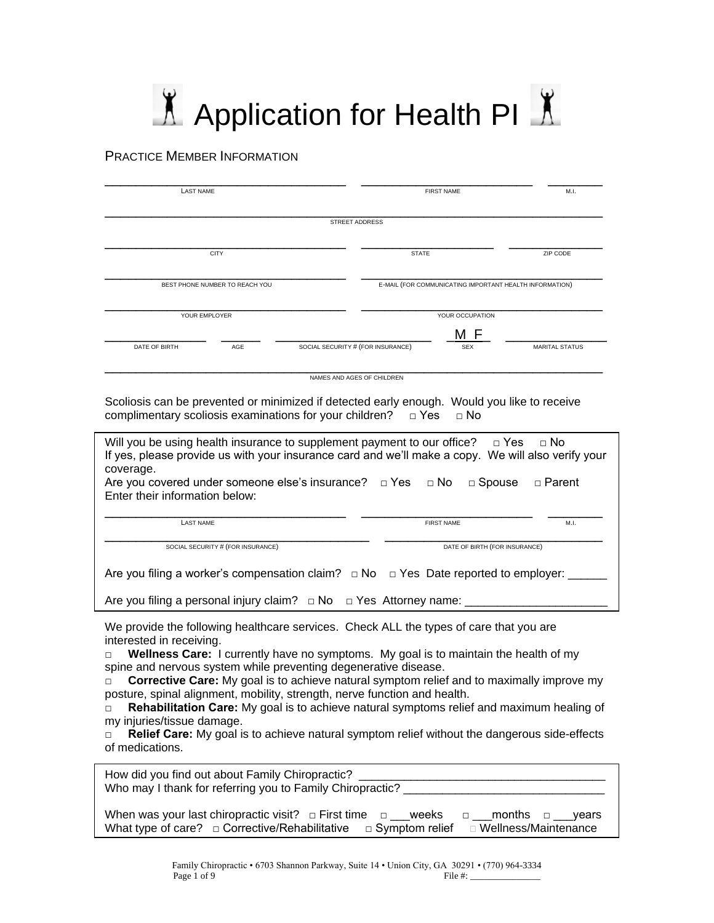# $\Lambda$  Application for Health PI $\Lambda$

### PRACTICE MEMBER INFORMATION

| <b>LAST NAME</b>               |               |                       |  | <b>FIRST NAME</b> | M.I.                                                    |
|--------------------------------|---------------|-----------------------|--|-------------------|---------------------------------------------------------|
|                                |               | <b>STREET ADDRESS</b> |  |                   |                                                         |
| <b>CITY</b>                    |               | <b>STATE</b>          |  | ZIP CODE          |                                                         |
| BEST PHONE NUMBER TO REACH YOU |               |                       |  |                   | E-MAIL (FOR COMMUNICATING IMPORTANT HEALTH INFORMATION) |
|                                | YOUR EMPLOYER |                       |  | YOUR OCCUPATION   |                                                         |
|                                |               |                       |  | M F               | <b>MARITAL STATUS</b>                                   |

Scoliosis can be prevented or minimized if detected early enough. Would you like to receive complimentary scoliosis examinations for your children?  $□$  Yes  $□$  No

| Will you be using health insurance to supplement payment to our office? $\Box$ Yes $\Box$ No<br>If yes, please provide us with your insurance card and we'll make a copy. We will also verify your<br>coverage.<br>Are you covered under someone else's insurance? $\Box$ Yes<br>$\Box$ No<br>$\Box$ Spouse<br>□ Parent |                               |      |  |
|-------------------------------------------------------------------------------------------------------------------------------------------------------------------------------------------------------------------------------------------------------------------------------------------------------------------------|-------------------------------|------|--|
| Enter their information below:                                                                                                                                                                                                                                                                                          |                               |      |  |
| <b>LAST NAME</b>                                                                                                                                                                                                                                                                                                        | <b>FIRST NAME</b>             | M.I. |  |
| SOCIAL SECURITY # (FOR INSURANCE)                                                                                                                                                                                                                                                                                       | DATE OF BIRTH (FOR INSURANCE) |      |  |
| Are you filing a worker's compensation claim? $\Box$ No $\Box$ Yes Date reported to employer: _____                                                                                                                                                                                                                     |                               |      |  |
| Are you filing a personal injury claim? $\Box$ No $\Box$ Yes Attorney name:                                                                                                                                                                                                                                             |                               |      |  |

We provide the following healthcare services. Check ALL the types of care that you are interested in receiving.

**□ Wellness Care:** I currently have no symptoms. My goal is to maintain the health of my spine and nervous system while preventing degenerative disease.

**□ Corrective Care:** My goal is to achieve natural symptom relief and to maximally improve my posture, spinal alignment, mobility, strength, nerve function and health.

**□ Rehabilitation Care:** My goal is to achieve natural symptoms relief and maximum healing of my injuries/tissue damage.

**□ Relief Care:** My goal is to achieve natural symptom relief without the dangerous side-effects of medications.

| How did you find out about Family Chiropractic?<br>Who may I thank for referring you to Family Chiropractic?                                                                                               |
|------------------------------------------------------------------------------------------------------------------------------------------------------------------------------------------------------------|
| When was your last chiropractic visit? $\Box$ First time<br>$\Box$ months $\Box$<br>weeks<br>vears<br>П.<br>What type of care? $\Box$ Corrective/Rehabilitative<br>□ Symptom relief □ Wellness/Maintenance |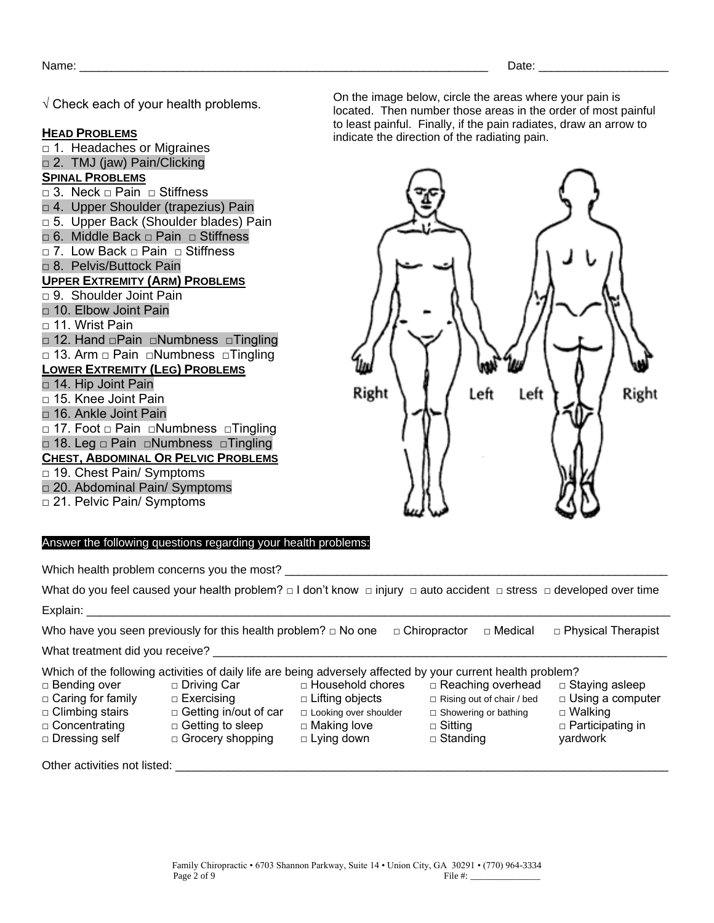$\sqrt{ }$  Check each of vour health problems.

#### **HEAD PROBLEMS**

□ 1. Headaches or Migraines □ 2. TMJ (jaw) Pain/Clicking **SPINAL PROBLEMS** □ 3. Neck □ Pain □ Stiffness □ 4. Upper Shoulder (trapezius) Pain □ 5. Upper Back (Shoulder blades) Pain □ 6. Middle Back □ Pain □ Stiffness □ 7. Low Back □ Pain □ Stiffness □ 8. Pelvis/Buttock Pain **UPPER EXTREMITY (ARM) PROBLEMS** □ 9. Shoulder Joint Pain □ 10. Elbow Joint Pain □ 11. Wrist Pain □ 12. Hand □Pain □Numbness □Tingling □ 13. Arm □ Pain □Numbness □Tingling **LOWER EXTREMITY (LEG) PROBLEMS** □ 14. Hip Joint Pain □ 15. Knee Joint Pain □ 16. Ankle Joint Pain □ 17. Foot □ Pain □Numbness □Tingling □ 18. Leg □ Pain □Numbness □Tingling **CHEST, ABDOMINAL OR PELVIC PROBLEMS** □ 19. Chest Pain/ Symptoms □ 20. Abdominal Pain/ Symptoms □ 21. Pelvic Pain/ Symptoms

On the image below, circle the areas where your pain is located. Then number those areas in the order of most painful to least painful. Finally, if the pain radiates, draw an arrow to indicate the direction of the radiating pain.



#### Answer the following questions regarding your health problems:

Which health problem concerns you the most?

What do you feel caused your health problem? □ I don't know □ injury □ auto accident □ stress □ developed over time Explain:

Who have you seen previously for this health problem? □ No one □ Chiropractor □ Medical □ Physical Therapist

What treatment did you receive?

Which of the following activities of daily life are being adversely affected by your current health problem? □ Household chores

- □ Bending over
- □ Caring for family
- □ Climbing stairs □ Concentrating
- 
- □ Dressing self

□ Getting to sleep □ Grocery shopping

□ Driving Car □ Exercising

- □ Getting in/out of car □ Looking over shoulder □ Making love
	- □ Lying down

□ Lifting objects

- □ Rising out of chair / bed □ Showering or bathing
	- □ Sitting

□ Reaching overhead

- □ Standing
- □ Staying asleep □ Using a computer
	- □ Walking
	- □ Participating in
	- yardwork

Other activities not listed: \_\_\_\_\_\_\_\_\_\_\_\_\_\_\_\_\_\_\_\_\_\_\_\_\_\_\_\_\_\_\_\_\_\_\_\_\_\_\_\_\_\_\_\_\_\_\_\_\_\_\_\_\_\_\_\_\_\_\_\_\_\_\_\_\_\_\_\_\_\_\_\_\_\_\_\_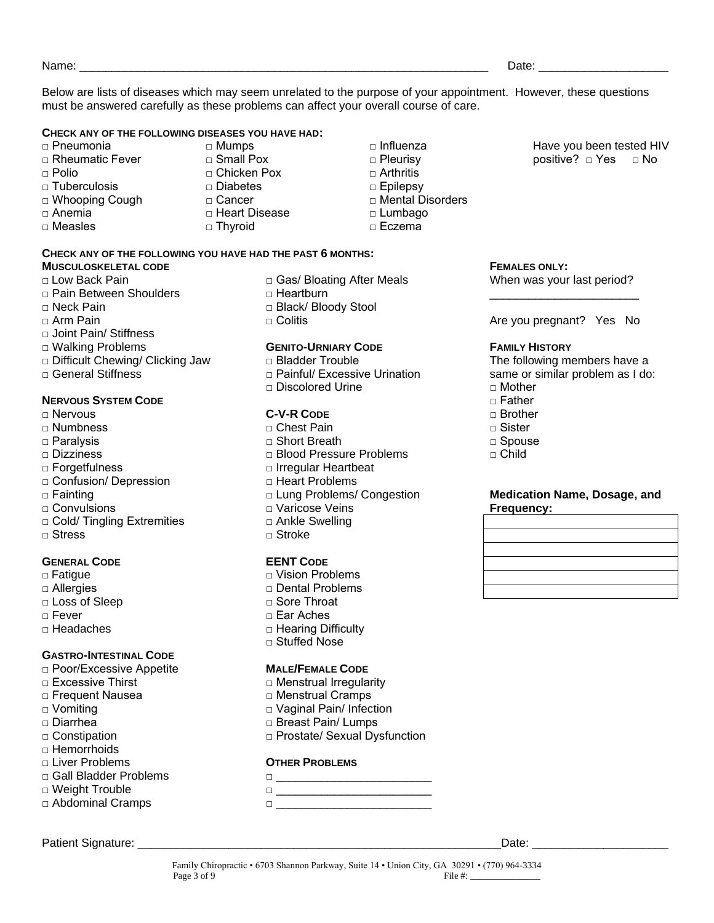Name: where the contract of the contract of the contract of the contract of the contract of the contract of the contract of the contract of the contract of the contract of the contract of the contract of the contract of th

Below are lists of diseases which may seem unrelated to the purpose of your appointment. However, these questions must be answered carefully as these problems can affect your overall course of care.

> □ Influenza □ Pleurisy  $\Box$  Arthritis □ Epilepsy

□ Lumbago □ Eczema

□ Mental Disorders

#### **CHECK ANY OF THE FOLLOWING DISEASES YOU HAVE HAD:**

- □ Pneumonia
- □ Rheumatic Fever
- $\Box$  Polio
- □ Tuberculosis
- □ Whooping Cough
- □ Anemia
- □ Measles

□ Small Pox □ Chicken Pox □ Diabetes

□ Mumps

- □ Cancer
- □ Heart Disease
- □ Thyroid

#### **CHECK ANY OF THE FOLLOWING YOU HAVE HAD THE PAST 6 MONTHS:**

#### **MUSCULOSKELETAL CODE**

- □ Low Back Pain
- □ Pain Between Shoulders
- □ Neck Pain
- □ Arm Pain
- □ Joint Pain/ Stiffness
- □ Walking Problems
- □ Difficult Chewing/ Clicking Jaw
- $\Box$  General Stiffness

#### **NERVOUS SYSTEM CODE**

- □ Nervous
- □ Numbness
- □ Paralysis
- □ Dizziness
- □ Forgetfulness
- □ Confusion/ Depression
- □ Fainting
- □ Convulsions
- □ Cold/ Tingling Extremities
- □ Stress

#### **GENERAL CODE**

- **□** Fatigue
- □ Allergies
- □ Loss of Sleep
- □ Fever
- □ Headaches

#### **GASTRO-INTESTINAL CODE**

- □ Poor/Excessive Appetite
- □ Excessive Thirst
- □ Frequent Nausea
- □ Vomiting
- □ Diarrhea
- □ Constipation
- □ Hemorrhoids
- □ Liver Problems
- □ Gall Bladder Problems
- □ Weight Trouble □ Abdominal Cramps

#### Patient Signature: \_\_\_\_\_\_\_\_\_\_\_\_\_\_\_\_\_\_\_\_\_\_\_\_\_\_\_\_\_\_\_\_\_\_\_\_\_\_\_\_\_\_\_\_\_\_\_\_\_\_\_\_\_\_\_\_Date: \_\_\_\_\_\_\_\_\_\_\_\_\_\_\_\_\_\_\_\_\_

□ Gas/ Bloating After Meals □ Heartburn

- □ Black/ Bloody Stool
- □ Colitis

#### **GENITO-URNIARY CODE**

- □ Bladder Trouble
- □ Painful/ Excessive Urination
- □ Discolored Urine

#### **C-V-R CODE**

- □ Chest Pain □ Short Breath □ Blood Pressure Problems □ Irregular Heartbeat □ Heart Problems
- □ Lung Problems/ Congestion
- □ Varicose Veins
- □ Ankle Swelling
- □ Stroke

#### **EENT CODE**

- □ Vision Problems □ Dental Problems
- □ Sore Throat
- □ Ear Aches
- □ Hearing Difficulty
- □ Stuffed Nose

#### **MALE/FEMALE CODE**

- □ Menstrual Irregularity
- □ Menstrual Cramps
- □ Vaginal Pain/ Infection
- □ Breast Pain/ Lumps
- □ Prostate/ Sexual Dysfunction

#### **OTHER PROBLEMS**

- □ \_\_\_\_\_\_\_\_\_\_\_\_\_\_\_\_\_\_\_\_\_\_\_\_
- □ \_\_\_\_\_\_\_\_\_\_\_\_\_\_\_\_\_\_\_\_\_\_\_\_ □ \_\_\_\_\_\_\_\_\_\_\_\_\_\_\_\_\_\_\_\_\_\_\_\_

Have you been tested HIV positive? □ Yes □ No

#### **FEMALES ONLY:**

When was your last period? \_\_\_\_\_\_\_\_\_\_\_\_\_\_\_\_\_\_\_\_\_\_\_

Are you pregnant? Yes No

#### **FAMILY HISTORY**

The following members have a same or similar problem as I do:

- $\sqcap$  Mother
- $\Box$  Father
- □ Brother
- $\sqcap$  Sister
- □ Spouse
- $\sqcap$  Child

#### **Medication Name, Dosage, and Frequency:**



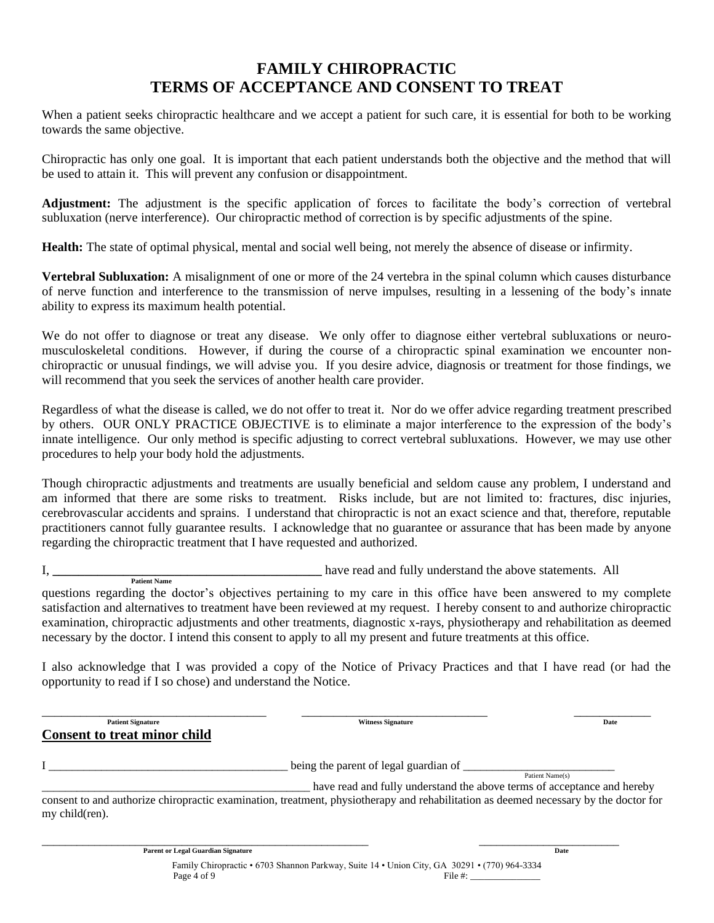## **FAMILY CHIROPRACTIC TERMS OF ACCEPTANCE AND CONSENT TO TREAT**

When a patient seeks chiropractic healthcare and we accept a patient for such care, it is essential for both to be working towards the same objective.

Chiropractic has only one goal. It is important that each patient understands both the objective and the method that will be used to attain it. This will prevent any confusion or disappointment.

**Adjustment:** The adjustment is the specific application of forces to facilitate the body's correction of vertebral subluxation (nerve interference). Our chiropractic method of correction is by specific adjustments of the spine.

**Health:** The state of optimal physical, mental and social well being, not merely the absence of disease or infirmity.

**Vertebral Subluxation:** A misalignment of one or more of the 24 vertebra in the spinal column which causes disturbance of nerve function and interference to the transmission of nerve impulses, resulting in a lessening of the body's innate ability to express its maximum health potential.

We do not offer to diagnose or treat any disease. We only offer to diagnose either vertebral subluxations or neuromusculoskeletal conditions. However, if during the course of a chiropractic spinal examination we encounter nonchiropractic or unusual findings, we will advise you. If you desire advice, diagnosis or treatment for those findings, we will recommend that you seek the services of another health care provider.

Regardless of what the disease is called, we do not offer to treat it. Nor do we offer advice regarding treatment prescribed by others. OUR ONLY PRACTICE OBJECTIVE is to eliminate a major interference to the expression of the body's innate intelligence. Our only method is specific adjusting to correct vertebral subluxations. However, we may use other procedures to help your body hold the adjustments.

Though chiropractic adjustments and treatments are usually beneficial and seldom cause any problem, I understand and am informed that there are some risks to treatment. Risks include, but are not limited to: fractures, disc injuries, cerebrovascular accidents and sprains. I understand that chiropractic is not an exact science and that, therefore, reputable practitioners cannot fully guarantee results. I acknowledge that no guarantee or assurance that has been made by anyone regarding the chiropractic treatment that I have requested and authorized.

I, **\_\_\_\_\_\_\_\_\_\_\_\_\_\_\_\_\_\_\_\_\_\_\_\_\_\_\_\_\_\_\_\_\_\_\_\_\_\_\_\_\_\_** have read and fully understand the above statements. All  **Patient Name**

questions regarding the doctor's objectives pertaining to my care in this office have been answered to my complete satisfaction and alternatives to treatment have been reviewed at my request. I hereby consent to and authorize chiropractic examination, chiropractic adjustments and other treatments, diagnostic x-rays, physiotherapy and rehabilitation as deemed necessary by the doctor. I intend this consent to apply to all my present and future treatments at this office.

I also acknowledge that I was provided a copy of the Notice of Privacy Practices and that I have read (or had the opportunity to read if I so chose) and understand the Notice.

\_\_\_\_\_\_\_\_\_\_\_\_\_\_\_\_\_\_\_\_\_\_\_\_\_\_\_\_\_\_\_\_\_\_\_ \_\_\_\_\_\_\_\_\_\_\_\_\_\_\_\_\_\_\_\_\_\_\_\_\_\_\_\_\_ \_\_\_\_\_\_\_\_\_\_\_\_ **Patient Signature Date Consent to treat minor child** I \_\_\_\_\_\_\_\_\_\_\_\_\_\_\_\_\_\_\_\_\_\_\_\_\_\_\_\_\_\_\_\_\_\_\_\_\_\_\_\_\_ being the parent of legal guardian of \_\_\_\_\_\_\_\_\_\_\_\_\_\_\_\_\_\_\_\_\_\_\_\_\_\_ Patient Name(s) \_\_\_\_\_\_\_\_\_\_\_\_\_\_\_\_\_\_\_\_\_\_\_\_\_\_\_\_\_\_\_\_\_\_\_\_\_\_\_\_\_\_\_\_\_\_ have read and fully understand the above terms of acceptance and hereby consent to and authorize chiropractic examination, treatment, physiotherapy and rehabilitation as deemed necessary by the doctor for my child(ren).

> Family Chiropractic • 6703 Shannon Parkway, Suite 14 • Union City, GA 30291 • (770) 964-3334 Page  $4$  of  $9$  File  $\#$ :

\_\_\_\_\_\_\_\_\_\_\_\_\_\_\_\_\_\_\_\_\_\_\_\_\_\_\_\_\_\_\_\_\_\_\_\_\_\_\_\_\_\_\_\_\_\_\_\_\_\_\_\_\_\_\_\_ \_\_\_\_\_\_\_\_\_\_\_\_\_\_\_\_\_\_\_\_\_\_\_\_

**Parent or Legal Guardian Signature** Date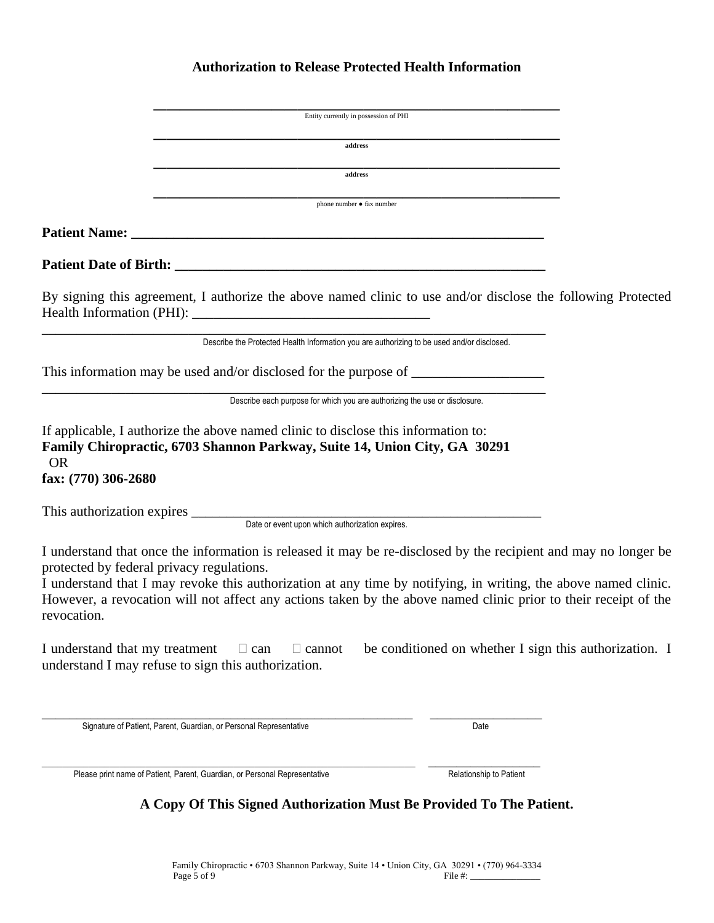## **Authorization to Release Protected Health Information**

|                                                                                                                                                                                                                                                                                                                                                                                                                   | Entity currently in possession of PHI                                                      |                                                        |  |
|-------------------------------------------------------------------------------------------------------------------------------------------------------------------------------------------------------------------------------------------------------------------------------------------------------------------------------------------------------------------------------------------------------------------|--------------------------------------------------------------------------------------------|--------------------------------------------------------|--|
|                                                                                                                                                                                                                                                                                                                                                                                                                   | address                                                                                    |                                                        |  |
|                                                                                                                                                                                                                                                                                                                                                                                                                   | address                                                                                    |                                                        |  |
|                                                                                                                                                                                                                                                                                                                                                                                                                   | phone number • fax number                                                                  |                                                        |  |
|                                                                                                                                                                                                                                                                                                                                                                                                                   |                                                                                            |                                                        |  |
|                                                                                                                                                                                                                                                                                                                                                                                                                   |                                                                                            |                                                        |  |
| By signing this agreement, I authorize the above named clinic to use and/or disclose the following Protected                                                                                                                                                                                                                                                                                                      |                                                                                            |                                                        |  |
|                                                                                                                                                                                                                                                                                                                                                                                                                   | Describe the Protected Health Information you are authorizing to be used and/or disclosed. |                                                        |  |
| This information may be used and/or disclosed for the purpose of ________________                                                                                                                                                                                                                                                                                                                                 |                                                                                            |                                                        |  |
|                                                                                                                                                                                                                                                                                                                                                                                                                   | Describe each purpose for which you are authorizing the use or disclosure.                 |                                                        |  |
| If applicable, I authorize the above named clinic to disclose this information to:<br>Family Chiropractic, 6703 Shannon Parkway, Suite 14, Union City, GA 30291<br><b>OR</b><br>fax: (770) 306-2680                                                                                                                                                                                                               |                                                                                            |                                                        |  |
| This authorization expires <u>Date</u> or event upon which authorization expires.                                                                                                                                                                                                                                                                                                                                 |                                                                                            |                                                        |  |
|                                                                                                                                                                                                                                                                                                                                                                                                                   |                                                                                            |                                                        |  |
| I understand that once the information is released it may be re-disclosed by the recipient and may no longer be<br>protected by federal privacy regulations.<br>I understand that I may revoke this authorization at any time by notifying, in writing, the above named clinic.<br>However, a revocation will not affect any actions taken by the above named clinic prior to their receipt of the<br>revocation. |                                                                                            |                                                        |  |
| I understand that my treatment<br>understand I may refuse to sign this authorization.                                                                                                                                                                                                                                                                                                                             | $\Box$ can<br>$\Box$ cannot                                                                | be conditioned on whether I sign this authorization. I |  |
| Signature of Patient, Parent, Guardian, or Personal Representative                                                                                                                                                                                                                                                                                                                                                |                                                                                            | Date                                                   |  |
| Please print name of Patient, Parent, Guardian, or Personal Representative                                                                                                                                                                                                                                                                                                                                        |                                                                                            | Relationship to Patient                                |  |

**A Copy Of This Signed Authorization Must Be Provided To The Patient.**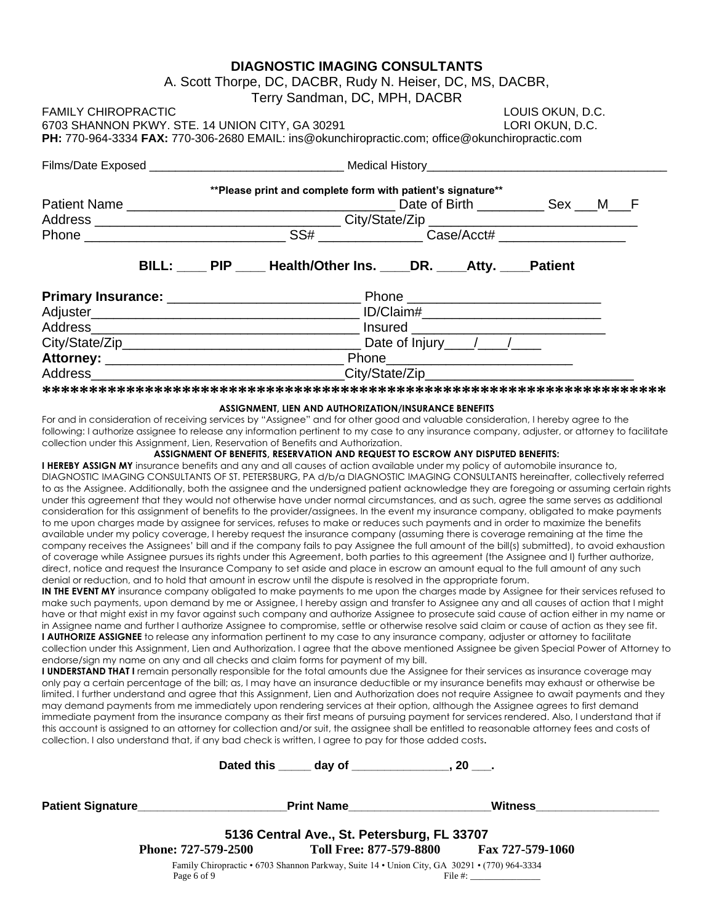## **DIAGNOSTIC IMAGING CONSULTANTS** A. Scott Thorpe, DC, DACBR, Rudy N. Heiser, DC, MS, DACBR, Terry Sandman, DC, MPH, DACBR FAMILY CHIROPRACTIC LOUIS OKUN, D.C. 6703 SHANNON PKWY. STE. 14 UNION CITY, GA 30291 LORI OKUN, D.C. **PH:** 770-964-3334 **FAX:** 770-306-2680 EMAIL: ins@okunchiropractic.com; office@okunchiropractic.com Films/Date Exposed **Executes Exposed Executes Medical History \*\*Please print and complete form with patient's signature\*\*** Patient Name \_\_\_\_\_\_\_\_\_\_\_\_\_\_\_\_\_\_\_\_\_\_\_\_\_\_\_\_\_\_\_\_\_\_\_\_ Date of Birth \_\_\_\_\_\_\_\_\_ Sex \_\_\_M\_\_\_F Address \_\_\_\_\_\_\_\_\_\_\_\_\_\_\_\_\_\_\_\_\_\_\_\_\_\_\_\_\_\_\_\_\_ City/State/Zip \_\_\_\_\_\_\_\_\_\_\_\_\_\_\_\_\_\_\_\_\_\_\_\_\_\_\_\_ Phone \_\_\_\_\_\_\_\_\_\_\_\_\_\_\_\_\_\_\_\_\_\_\_\_\_\_\_ SS# \_\_\_\_\_\_\_\_\_\_\_\_\_\_ Case/Acct# \_\_\_\_\_\_\_\_\_\_\_\_\_\_\_\_\_ BILL: PIP Health/Other Ins. DR. Atty. Patient **Primary Insurance:** \_\_\_\_\_\_\_\_\_\_\_\_\_\_\_\_\_\_\_\_\_\_\_\_\_\_ Phone \_\_\_\_\_\_\_\_\_\_\_\_\_\_\_\_\_\_\_\_\_\_\_\_\_\_ Adjuster\_\_\_\_\_\_\_\_\_\_\_\_\_\_\_\_\_\_\_\_\_\_\_\_\_\_\_\_\_\_\_\_\_\_\_\_ ID/Claim#\_\_\_\_\_\_\_\_\_\_\_\_\_\_\_\_\_\_\_\_\_\_\_\_ Address\_\_\_\_\_\_\_\_\_\_\_\_\_\_\_\_\_\_\_\_\_\_\_\_\_\_\_\_\_\_\_\_\_\_\_\_ Insured \_\_\_\_\_\_\_\_\_\_\_\_\_\_\_\_\_\_\_\_\_\_\_\_\_\_ City/State/Zip\_\_\_\_\_\_\_\_\_\_\_\_\_\_\_\_\_\_\_\_\_\_\_\_\_\_\_\_\_\_\_\_ Date of Injury\_\_\_\_/\_\_\_\_/\_\_\_\_ **Attorney:** \_\_\_\_\_\_\_\_\_\_\_\_\_\_\_\_\_\_\_\_\_\_\_\_\_\_\_\_\_\_\_\_ Phone\_\_\_\_\_\_\_\_\_\_\_\_\_\_\_\_\_\_\_\_\_\_\_\_\_ Address\_\_\_\_\_\_\_\_\_\_\_\_\_\_\_\_\_\_\_\_\_\_\_\_\_\_\_\_\_\_\_\_\_\_City/State/Zip\_\_\_\_\_\_\_\_\_\_\_\_\_\_\_\_\_\_\_\_\_\_\_\_\_\_\_\_

**\*\*\*\*\*\*\*\*\*\*\*\*\*\*\*\*\*\*\*\*\*\*\*\*\*\*\*\*\*\*\*\*\*\*\*\*\*\*\*\*\*\*\*\*\*\*\*\*\*\*\*\*\*\*\*\*\*\*\*\*\*\*\*\*\*\*\***

#### **ASSIGNMENT, LIEN AND AUTHORIZATION/INSURANCE BENEFITS**

For and in consideration of receiving services by "Assignee" and for other good and valuable consideration, I hereby agree to the following: I authorize assignee to release any information pertinent to my case to any insurance company, adjuster, or attorney to facilitate collection under this Assignment, Lien, Reservation of Benefits and Authorization.

#### **ASSIGNMENT OF BENEFITS, RESERVATION AND REQUEST TO ESCROW ANY DISPUTED BENEFITS:**

**I HEREBY ASSIGN MY** insurance benefits and any and all causes of action available under my policy of automobile insurance to, DIAGNOSTIC IMAGING CONSULTANTS OF ST. PETERSBURG, PA d/b/a DIAGNOSTIC IMAGING CONSULTANTS hereinafter, collectively referred to as the Assignee. Additionally, both the assignee and the undersigned patient acknowledge they are foregoing or assuming certain rights under this agreement that they would not otherwise have under normal circumstances, and as such, agree the same serves as additional consideration for this assignment of benefits to the provider/assignees. In the event my insurance company, obligated to make payments to me upon charges made by assignee for services, refuses to make or reduces such payments and in order to maximize the benefits available under my policy coverage, I hereby request the insurance company (assuming there is coverage remaining at the time the company receives the Assignees' bill and if the company fails to pay Assignee the full amount of the bill(s) submitted), to avoid exhaustion of coverage while Assignee pursues its rights under this Agreement, both parties to this agreement (the Assignee and I) further authorize, direct, notice and request the Insurance Company to set aside and place in escrow an amount equal to the full amount of any such denial or reduction, and to hold that amount in escrow until the dispute is resolved in the appropriate forum.

**IN THE EVENT MY** insurance company obligated to make payments to me upon the charges made by Assignee for their services refused to make such payments, upon demand by me or Assignee, I hereby assign and transfer to Assignee any and all causes of action that I might have or that might exist in my favor against such company and authorize Assignee to prosecute said cause of action either in my name or in Assignee name and further I authorize Assignee to compromise, settle or otherwise resolve said claim or cause of action as they see fit. **I AUTHORIZE ASSIGNEE** to release any information pertinent to my case to any insurance company, adjuster or attorney to facilitate collection under this Assignment, Lien and Authorization. I agree that the above mentioned Assignee be given Special Power of Attorney to endorse/sign my name on any and all checks and claim forms for payment of my bill.

**I UNDERSTAND THAT I** remain personally responsible for the total amounts due the Assignee for their services as insurance coverage may only pay a certain percentage of the bill; as, I may have an insurance deductible or my insurance benefits may exhaust or otherwise be limited. I further understand and agree that this Assignment, Lien and Authorization does not require Assignee to await payments and they may demand payments from me immediately upon rendering services at their option, although the Assignee agrees to first demand immediate payment from the insurance company as their first means of pursuing payment for services rendered. Also, I understand that if this account is assigned to an attorney for collection and/or suit, the assignee shall be entitled to reasonable attorney fees and costs of collection. I also understand that, if any bad check is written, I agree to pay for those added costs**.** 

|                                       | Dated this day of ________                                                                   | 20.                     |  |
|---------------------------------------|----------------------------------------------------------------------------------------------|-------------------------|--|
| Patient Signature <b>Example 2018</b> | <b>Print Name</b>                                                                            | <b>Witness</b>          |  |
|                                       | 5136 Central Ave., St. Petersburg, FL 33707                                                  |                         |  |
| Phone: 727-579-2500                   | Toll Free: 877-579-8800 Fax 727-579-1060                                                     |                         |  |
|                                       | Family Chiropractic • 6703 Shannon Parkway, Suite 14 • Union City, GA 30291 • (770) 964-3334 |                         |  |
| Page 6 of 9                           |                                                                                              | File #: $\qquad \qquad$ |  |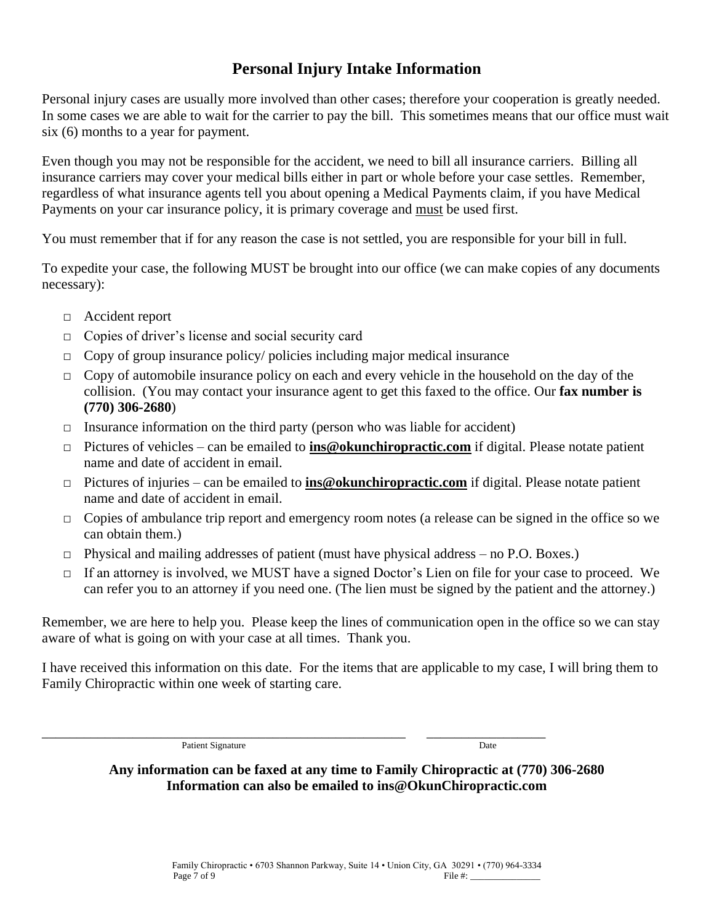## **Personal Injury Intake Information**

Personal injury cases are usually more involved than other cases; therefore your cooperation is greatly needed. In some cases we are able to wait for the carrier to pay the bill. This sometimes means that our office must wait six (6) months to a year for payment.

Even though you may not be responsible for the accident, we need to bill all insurance carriers. Billing all insurance carriers may cover your medical bills either in part or whole before your case settles. Remember, regardless of what insurance agents tell you about opening a Medical Payments claim, if you have Medical Payments on your car insurance policy, it is primary coverage and must be used first.

You must remember that if for any reason the case is not settled, you are responsible for your bill in full.

To expedite your case, the following MUST be brought into our office (we can make copies of any documents necessary):

- □ Accident report
- □ Copies of driver's license and social security card
- $\Box$  Copy of group insurance policy/ policies including major medical insurance
- $\Box$  Copy of automobile insurance policy on each and every vehicle in the household on the day of the collision. (You may contact your insurance agent to get this faxed to the office. Our **fax number is (770) 306-2680**)
- $\Box$  Insurance information on the third party (person who was liable for accident)
- □ Pictures of vehicles can be emailed to **ins@okunchiropractic.com** if digital. Please notate patient name and date of accident in email.
- □ Pictures of injuries can be emailed to **ins@okunchiropractic.com** if digital. Please notate patient name and date of accident in email.
- □ Copies of ambulance trip report and emergency room notes (a release can be signed in the office so we can obtain them.)
- □ Physical and mailing addresses of patient (must have physical address no P.O. Boxes.)
- □ If an attorney is involved, we MUST have a signed Doctor's Lien on file for your case to proceed. We can refer you to an attorney if you need one. (The lien must be signed by the patient and the attorney.)

Remember, we are here to help you. Please keep the lines of communication open in the office so we can stay aware of what is going on with your case at all times. Thank you.

I have received this information on this date. For the items that are applicable to my case, I will bring them to Family Chiropractic within one week of starting care.

Patient Signature Date

\_\_\_\_\_\_\_\_\_\_\_\_\_\_\_\_\_\_\_\_\_\_\_\_\_\_\_\_\_\_\_\_\_\_\_\_\_\_\_\_\_\_\_\_\_\_\_\_\_\_\_\_ \_\_\_\_\_\_\_\_\_\_\_\_\_\_\_\_\_

**Any information can be faxed at any time to Family Chiropractic at (770) 306-2680 Information can also be emailed to ins@OkunChiropractic.com**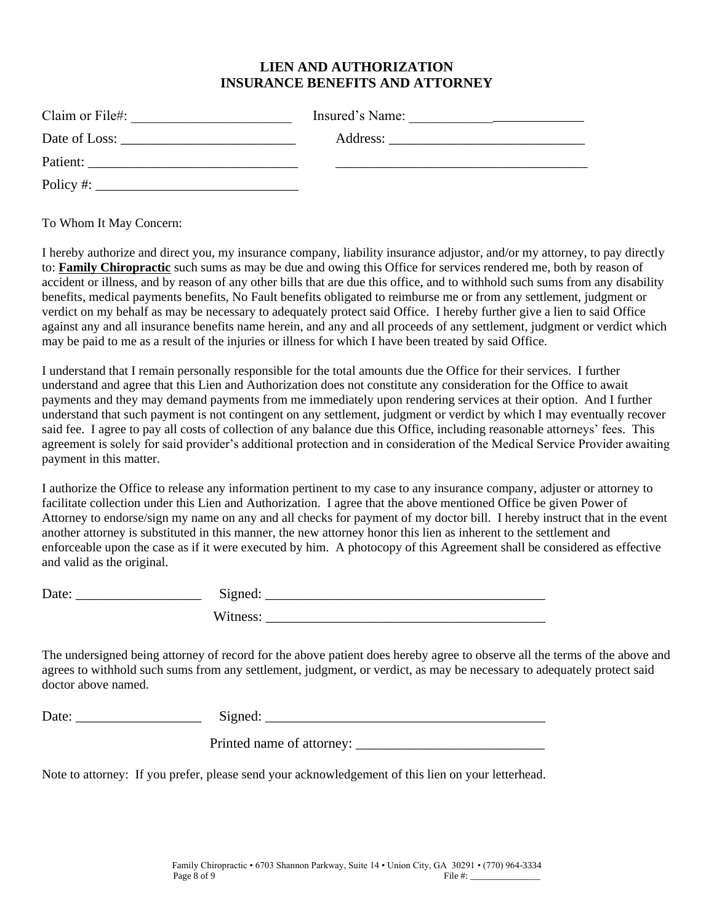## **LIEN AND AUTHORIZATION INSURANCE BENEFITS AND ATTORNEY**

| Claim or File#:                                                                              | Insured's Name: |
|----------------------------------------------------------------------------------------------|-----------------|
|                                                                                              |                 |
| Patient:                                                                                     |                 |
| Policy #:<br>the contract of the contract of the contract of the contract of the contract of |                 |

To Whom It May Concern:

I hereby authorize and direct you, my insurance company, liability insurance adjustor, and/or my attorney, to pay directly to: **Family Chiropractic** such sums as may be due and owing this Office for services rendered me, both by reason of accident or illness, and by reason of any other bills that are due this office, and to withhold such sums from any disability benefits, medical payments benefits, No Fault benefits obligated to reimburse me or from any settlement, judgment or verdict on my behalf as may be necessary to adequately protect said Office. I hereby further give a lien to said Office against any and all insurance benefits name herein, and any and all proceeds of any settlement, judgment or verdict which may be paid to me as a result of the injuries or illness for which I have been treated by said Office.

I understand that I remain personally responsible for the total amounts due the Office for their services. I further understand and agree that this Lien and Authorization does not constitute any consideration for the Office to await payments and they may demand payments from me immediately upon rendering services at their option. And I further understand that such payment is not contingent on any settlement, judgment or verdict by which I may eventually recover said fee. I agree to pay all costs of collection of any balance due this Office, including reasonable attorneys' fees. This agreement is solely for said provider's additional protection and in consideration of the Medical Service Provider awaiting payment in this matter.

I authorize the Office to release any information pertinent to my case to any insurance company, adjuster or attorney to facilitate collection under this Lien and Authorization. I agree that the above mentioned Office be given Power of Attorney to endorse/sign my name on any and all checks for payment of my doctor bill. I hereby instruct that in the event another attorney is substituted in this manner, the new attorney honor this lien as inherent to the settlement and enforceable upon the case as if it were executed by him. A photocopy of this Agreement shall be considered as effective and valid as the original.

| Date: | Signed:  |
|-------|----------|
|       | Witness: |

The undersigned being attorney of record for the above patient does hereby agree to observe all the terms of the above and agrees to withhold such sums from any settlement, judgment, or verdict, as may be necessary to adequately protect said doctor above named.

| Date: | . |
|-------|---|
|       |   |
|       |   |

Printed name of attorney: \_\_\_\_\_\_\_\_\_\_\_\_\_\_\_\_\_\_\_\_\_\_\_\_\_\_\_

Note to attorney: If you prefer, please send your acknowledgement of this lien on your letterhead.